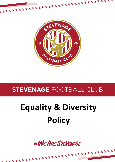

## **STEVENAGE FOOTBALL CLUB**

# **Equality & Diversity Policy**

#WEARE STEVENAGE

. . . . . . . . . . . . . . . . .

Page 1 of 5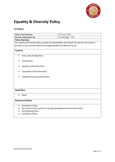

### **Equality & Diversity Policy**

#### *EXTERNAL*

| <b>Date of Last Review</b>                                                                      |                                                                     | 14th June 2019    |  |
|-------------------------------------------------------------------------------------------------|---------------------------------------------------------------------|-------------------|--|
| <b>Review Undertaken By</b>                                                                     |                                                                     | A.Tunbridge - CEO |  |
| <b>Policy Overview</b>                                                                          |                                                                     |                   |  |
| Our Equality & Diversity Policy provides all stakeholders with details of how the Club seeks to |                                                                     |                   |  |
| provide an environment which encourages equality and diversity for all.                         |                                                                     |                   |  |
| <b>Contents</b>                                                                                 |                                                                     |                   |  |
| $\bullet$                                                                                       | Policy Aims & Objectives                                            |                   |  |
|                                                                                                 | Introduction                                                        |                   |  |
|                                                                                                 | <b>Equality &amp; Diversity Policy</b>                              |                   |  |
| $\bullet$                                                                                       | <b>Complaints of Discrimination</b>                                 |                   |  |
|                                                                                                 | Implementation & Enforcement                                        |                   |  |
|                                                                                                 |                                                                     |                   |  |
|                                                                                                 |                                                                     |                   |  |
| <b>Appendices</b>                                                                               |                                                                     |                   |  |
| $\bullet$                                                                                       | None                                                                |                   |  |
| <b>Referenced Policies</b>                                                                      |                                                                     |                   |  |
| $\bullet$                                                                                       | <b>Disciplinary Policy</b>                                          |                   |  |
|                                                                                                 | Recruitment Policy and the Training, Development & Promotion Policy |                   |  |
|                                                                                                 | <b>Anti-Bullying Policy</b>                                         |                   |  |
|                                                                                                 | <b>Complaints Policy</b>                                            |                   |  |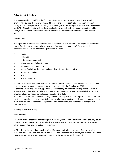#### **Policy Aims & Objectives**

Stevenage Football Club ("the Club") is committed to promoting equality and diversity and promoting a culture that actively values difference and recognises that people from different backgrounds and experiences can bring valuable insights to the workplace and enhance the way we work. The Club aims to be an inclusive organisation, where diversity is valued, respected and built upon, with the ability to recruit and retain a diverse workforce that reflects the communities it serves.

#### **Introduction**

The **Equality Act 2010** makes it unlawful to discriminate in recruitment or employment, or in some cases after the employment ends, because of a 'protected characteristic'. The protected characteristics identified under the Equality Act 2010 are:

- • Age
- Disability
- Gender reassignment
- Marriage and civil partnership
- • Pregnancy and maternity
- • Race (includes colour, nationality and ethnic or national origins)
- • Religion or belief
- • Sex
- • Sexual orientation

In addition to the above, some instances of indirect discrimination against individuals because they have a relevant protected characteristic are also covered in the **Equality Act 2010**.

Every employee is required to support the Club in meeting its commitment to provide equality in employment and avoid unlawful discrimination. Employees can be held personally liable for any act of unlawful discrimination as well as, or instead of, the Club.

The Club has adopted the following policy and will take all possible steps to protect staff, volunteers, trustees, beneficiaries, partners, participants and all other contacts made through its business from discrimination and any other unacceptable or unfair treatment, and to comply with legislative requirements.

#### **Equality & Diversity Policy**

#### **a) Definitions**

*i.* Equality can be described as breaking down barriers, eliminating discrimination and ensuring equal opportunity and access for all groups both in employment, and to goods and services; the basis of which is supported and protected by legislation.

*ii.* Diversity can be described as celebrating differences and valuing everyone. Each person is an individual with visible and non-visible differences and by respecting this everyone can feel valued for their contributions which is beneficial not only for the individual but for the Club.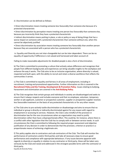*iii.* Discrimination can be defined as follows:

• Direct discrimination means treating someone less favourably than someone else because of a protected characteristic

• Direct discrimination by perception means treating one person less favourably than someone else, because you incorrectly think they have a protected characteristic

• Indirect discrimination means putting in place, a rule or policy or way of doing things that has a worse impact on someone with a protected characteristic than someone without one, when this cannot be objectively justified

• Direct discrimination by association means treating someone less favourably than another person because they are associated with a person who has a protected characteristic

*iv.* Equality and Diversity are not inter-changeable but can be inter-dependent. There can be no equality of opportunity if difference is not valued and harnessed and taken account of.

Failing to make reasonable adjustments for disabled people is also a form of discrimination.

b) The Club is committed to promoting a culture that actively values difference and recognises that people from different backgrounds and experiences can bring valuable insights to the workplace and enhance the way it works. The Club aims to be an inclusive organisation, where diversity is valued, respected and built upon, with the ability to recruit and retain a diverse workforce that reflects the communities it serves.

c) The Club is committed to equality and fairness in all areas of employment, including in recruitment, training and promotional opportunities. Further information on this is covered in the **Recruitment Policy and the Training, Development & Promotion Policy**. Issues relating to bullying, harassment and victimisation are covered in the **Anti-Bullying Policy**.

d) The Club recognises that certain groups and individuals in society are disadvantaged and seeks to ensure that it always respects and includes everyone and that no employee, volunteer, temporary worker or job applicant, customer or prospective customer, supplier or prospective supplier receives less favourable treatment on the basis of any protected characteristic or for any other reason.

e) The Club aims to pro-actively tackle discrimination or disadvantage and aims to ensure that no individual or group is directly or indirectly discriminated against for any reason with regard to employment or accessing its services. However, the Club is also mindful of the provision in discrimination law for the rare circumstances when an organisation may need to justify discrimination rather than have a disproportionate effect. This could be, for instance, where there is a conflict with other legislation that the Club has to comply with or between service needs. In such circumstances the Club is committed to following the required proper assessment and objective justification of any decision in order to demonstrate that the provision, criterion or practice is a proportionate means of achieving a legitimate aim.

f) This policy applies also to contractors and sub-contractors of the Club. The Club will monitor the performance of contractors and/or third parties and take all necessary steps to ensure good performance and compliance with appropriate behaviours. If any issues become apparent with regards to diversity or equality in relation to any contractor or third party, these will be taken very seriously by the Club and raised and addressed in the strongest possible terms with the contractor or third party.

Equality & Diversity Policy